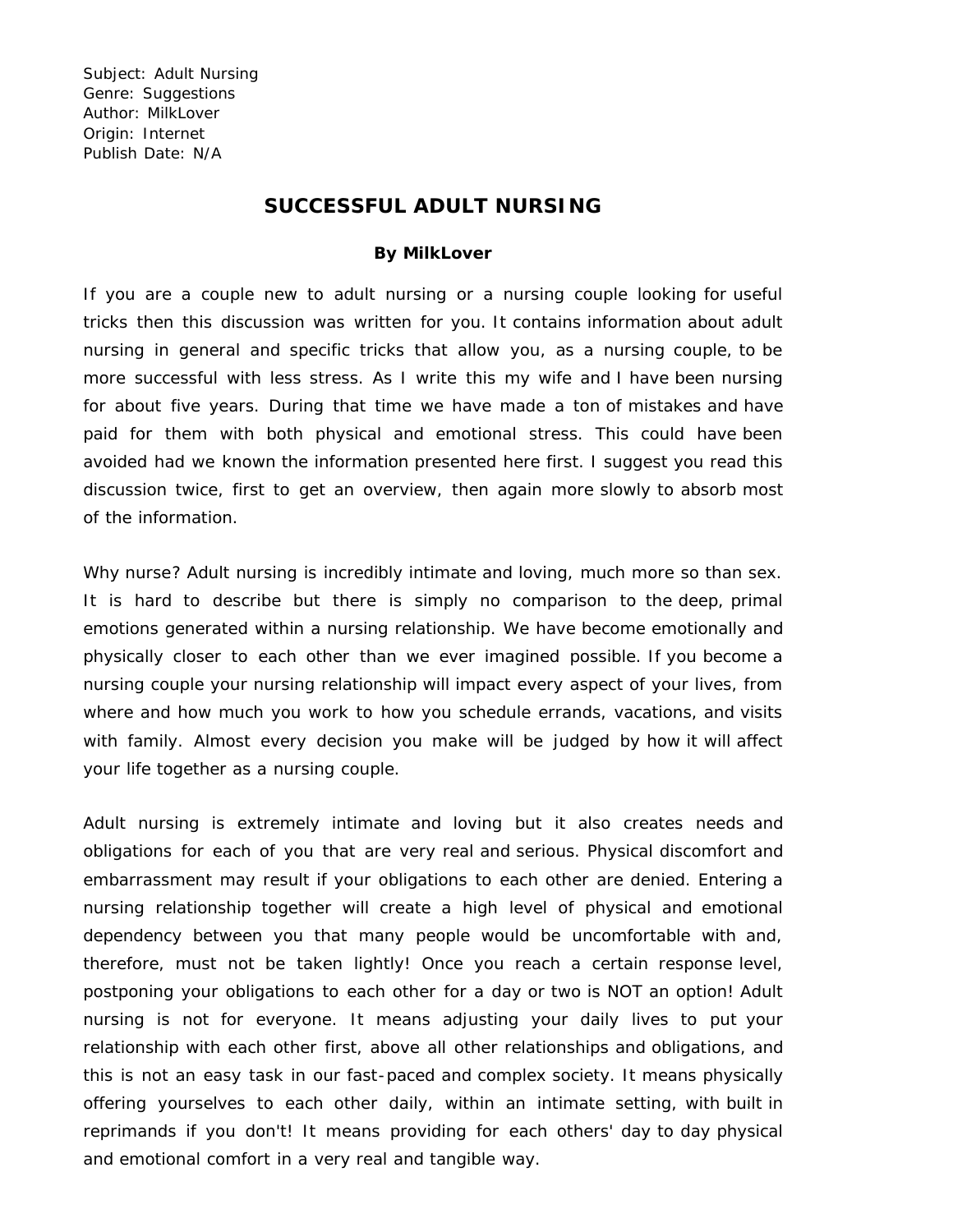## **SUCCESSFUL ADULT NURSING**

## **By MilkLover**

If you are a couple new to adult nursing or a nursing couple looking for useful tricks then this discussion was written for you. It contains information about adult nursing in general and specific tricks that allow you, as a nursing couple, to be more successful with less stress. As I write this my wife and I have been nursing for about five years. During that time we have made a ton of mistakes and have paid for them with both physical and emotional stress. This could have been avoided had we known the information presented here first. I suggest you read this discussion twice, first to get an overview, then again more slowly to absorb most of the information.

Why nurse? Adult nursing is incredibly intimate and loving, much more so than sex. It is hard to describe but there is simply no comparison to the deep, primal emotions generated within a nursing relationship. We have become emotionally and physically closer to each other than we ever imagined possible. If you become a nursing couple your nursing relationship will impact every aspect of your lives, from where and how much you work to how you schedule errands, vacations, and visits with family. Almost every decision you make will be judged by how it will affect your life together as a nursing couple.

Adult nursing is extremely intimate and loving but it also creates needs and obligations for each of you that are very real and serious. Physical discomfort and embarrassment may result if your obligations to each other are denied. Entering a nursing relationship together will create a high level of physical and emotional dependency between you that many people would be uncomfortable with and, therefore, must not be taken lightly! Once you reach a certain response level, postponing your obligations to each other for a day or two is NOT an option! Adult nursing is not for everyone. It means adjusting your daily lives to put your relationship with each other first, above all other relationships and obligations, and this is not an easy task in our fast-paced and complex society. It means physically offering yourselves to each other daily, within an intimate setting, with built in reprimands if you don't! It means providing for each others' day to day physical and emotional comfort in a very real and tangible way.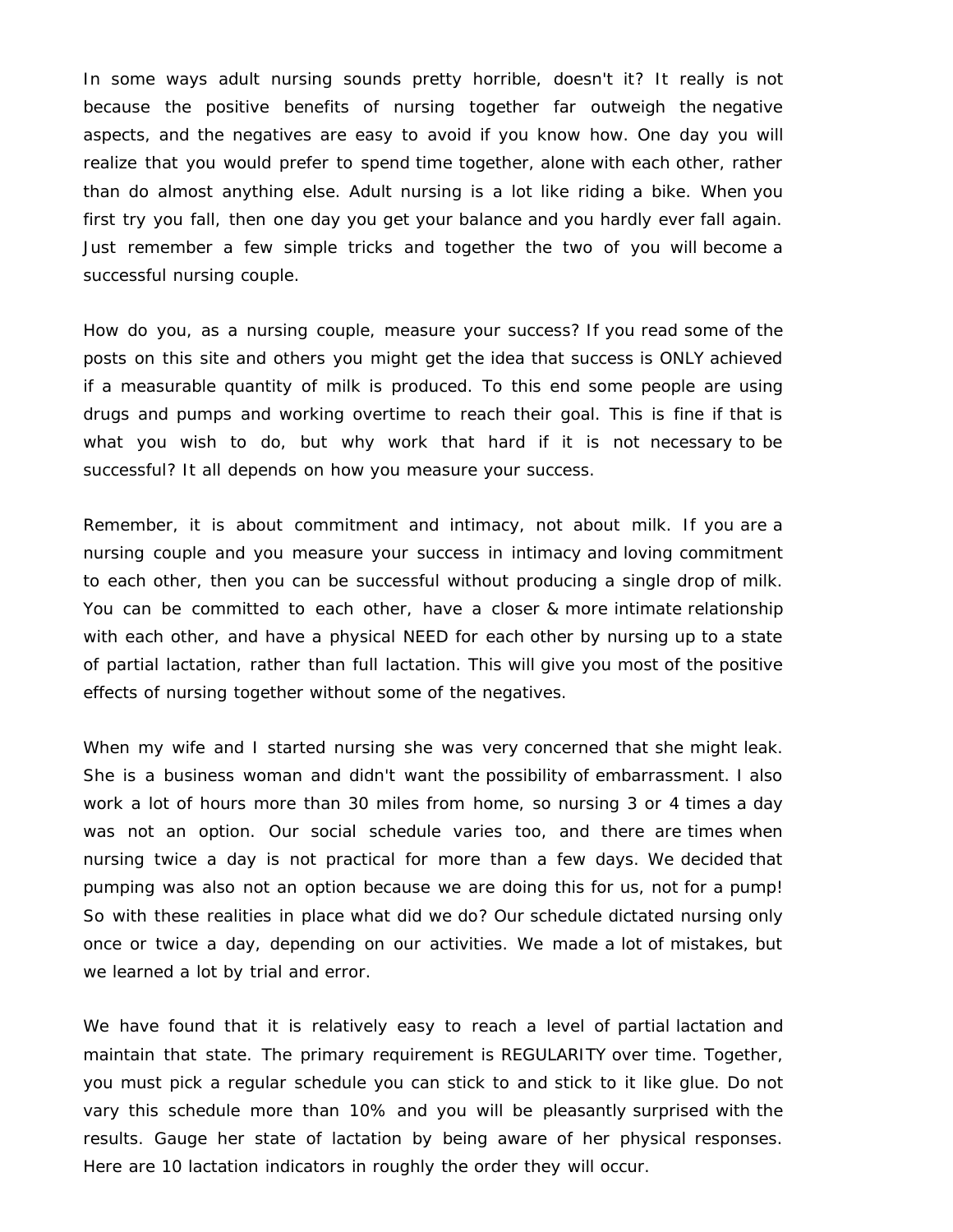In some ways adult nursing sounds pretty horrible, doesn't it? It really is not because the positive benefits of nursing together far outweigh the negative aspects, and the negatives are easy to avoid if you know how. One day you will realize that you would prefer to spend time together, alone with each other, rather than do almost anything else. Adult nursing is a lot like riding a bike. When you first try you fall, then one day you get your balance and you hardly ever fall again. Just remember a few simple tricks and together the two of you will become a successful nursing couple.

How do you, as a nursing couple, measure your success? If you read some of the posts on this site and others you might get the idea that success is ONLY achieved if a measurable quantity of milk is produced. To this end some people are using drugs and pumps and working overtime to reach their goal. This is fine if that is what you wish to do, but why work that hard if it is not necessary to be successful? It all depends on how you measure your success.

Remember, it is about commitment and intimacy, not about milk. If you are a nursing couple and you measure your success in intimacy and loving commitment to each other, then you can be successful without producing a single drop of milk. You can be committed to each other, have a closer & more intimate relationship with each other, and have a physical NEED for each other by nursing up to a state of partial lactation, rather than full lactation. This will give you most of the positive effects of nursing together without some of the negatives.

When my wife and I started nursing she was very concerned that she might leak. She is a business woman and didn't want the possibility of embarrassment. I also work a lot of hours more than 30 miles from home, so nursing 3 or 4 times a day was not an option. Our social schedule varies too, and there are times when nursing twice a day is not practical for more than a few days. We decided that pumping was also not an option because we are doing this for us, not for a pump! So with these realities in place what did we do? Our schedule dictated nursing only once or twice a day, depending on our activities. We made a lot of mistakes, but we learned a lot by trial and error.

We have found that it is relatively easy to reach a level of partial lactation and maintain that state. The primary requirement is REGULARITY over time. Together, you must pick a regular schedule you can stick to and stick to it like glue. Do not vary this schedule more than 10% and you will be pleasantly surprised with the results. Gauge her state of lactation by being aware of her physical responses. Here are 10 lactation indicators in roughly the order they will occur.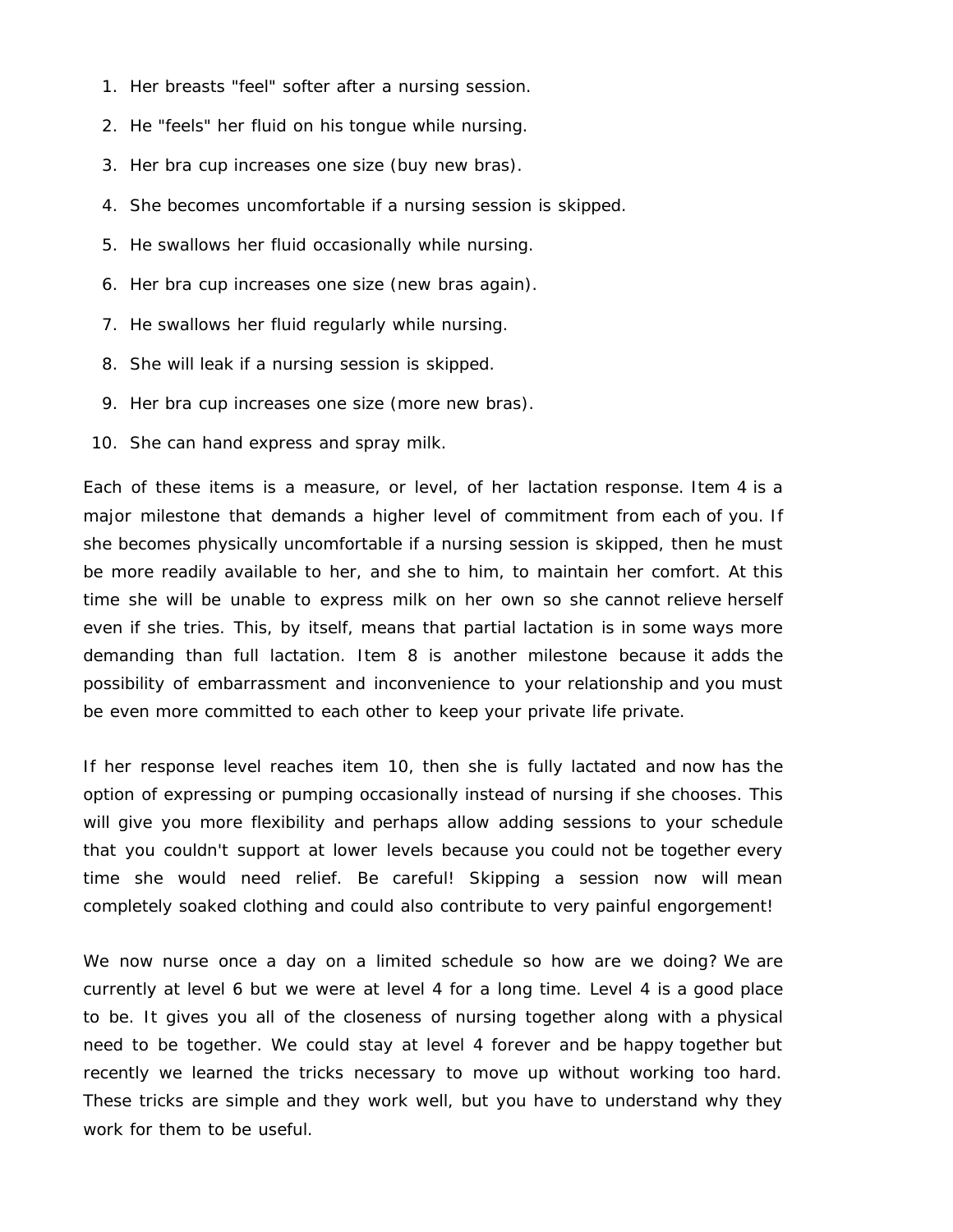- 1. Her breasts "feel" softer after a nursing session.
- 2. He "feels" her fluid on his tongue while nursing.
- 3. Her bra cup increases one size (buy new bras).
- 4. She becomes uncomfortable if a nursing session is skipped.
- 5. He swallows her fluid occasionally while nursing.
- 6. Her bra cup increases one size (new bras again).
- 7. He swallows her fluid regularly while nursing.
- 8. She will leak if a nursing session is skipped.
- 9. Her bra cup increases one size (more new bras).
- 10. She can hand express and spray milk.

Each of these items is a measure, or level, of her lactation response. Item 4 is a major milestone that demands a higher level of commitment from each of you. If she becomes physically uncomfortable if a nursing session is skipped, then he must be more readily available to her, and she to him, to maintain her comfort. At this time she will be unable to express milk on her own so she cannot relieve herself even if she tries. This, by itself, means that partial lactation is in some ways more demanding than full lactation. Item 8 is another milestone because it adds the possibility of embarrassment and inconvenience to your relationship and you must be even more committed to each other to keep your private life private.

If her response level reaches item 10, then she is fully lactated and now has the option of expressing or pumping occasionally instead of nursing if she chooses. This will give you more flexibility and perhaps allow adding sessions to your schedule that you couldn't support at lower levels because you could not be together every time she would need relief. Be careful! Skipping a session now will mean completely soaked clothing and could also contribute to very painful engorgement!

We now nurse once a day on a limited schedule so how are we doing? We are currently at level 6 but we were at level 4 for a long time. Level 4 is a good place to be. It gives you all of the closeness of nursing together along with a physical need to be together. We could stay at level 4 forever and be happy together but recently we learned the tricks necessary to move up without working too hard. These tricks are simple and they work well, but you have to understand why they work for them to be useful.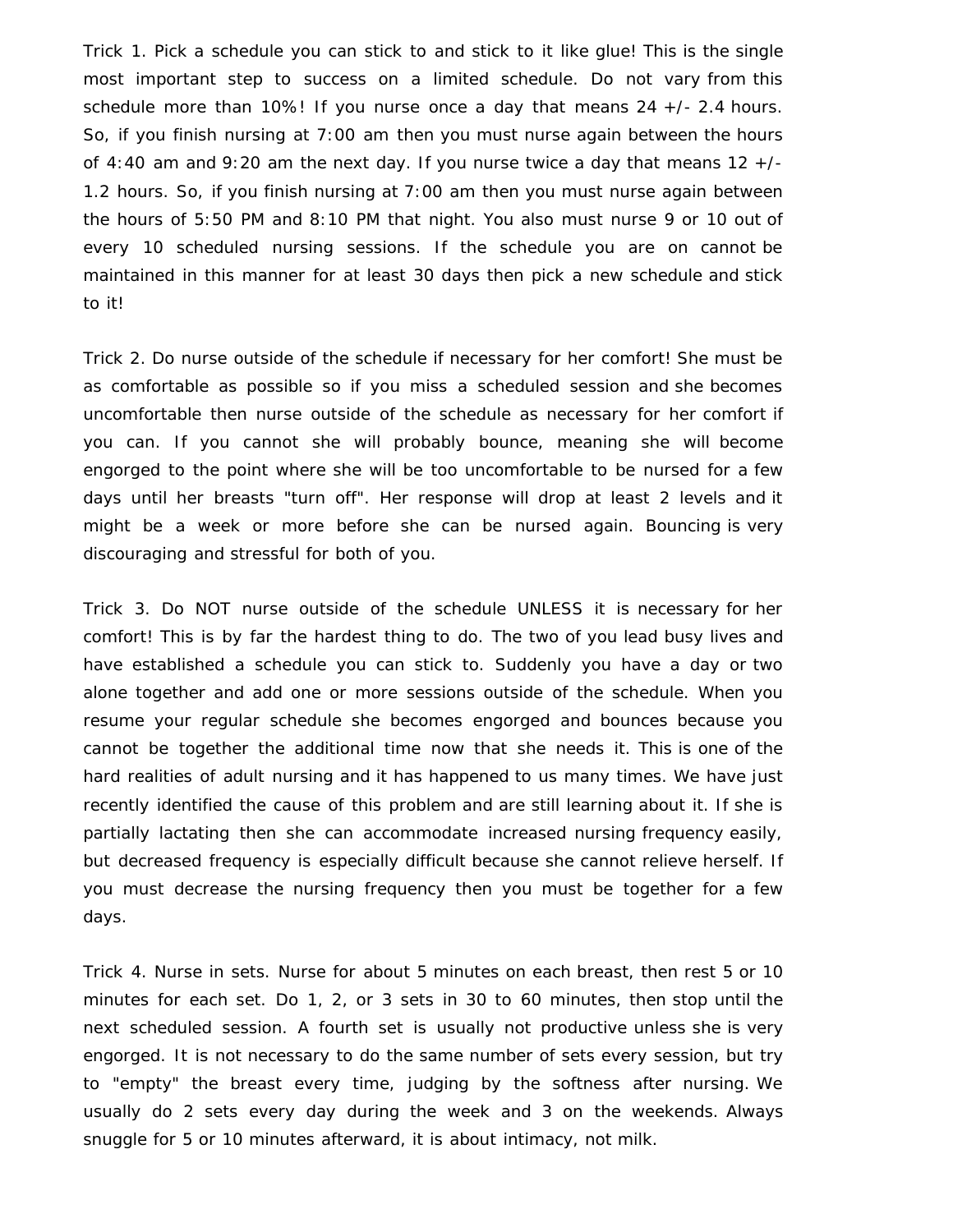Trick 1. Pick a schedule you can stick to and stick to it like glue! This is the single most important step to success on a limited schedule. Do not vary from this schedule more than 10%! If you nurse once a day that means 24 +/- 2.4 hours. So, if you finish nursing at 7:00 am then you must nurse again between the hours of 4:40 am and 9:20 am the next day. If you nurse twice a day that means  $12 +$ /-1.2 hours. So, if you finish nursing at 7:00 am then you must nurse again between the hours of 5:50 PM and 8:10 PM that night. You also must nurse 9 or 10 out of every 10 scheduled nursing sessions. If the schedule you are on cannot be maintained in this manner for at least 30 days then pick a new schedule and stick to it!

Trick 2. Do nurse outside of the schedule if necessary for her comfort! She must be as comfortable as possible so if you miss a scheduled session and she becomes uncomfortable then nurse outside of the schedule as necessary for her comfort if you can. If you cannot she will probably bounce, meaning she will become engorged to the point where she will be too uncomfortable to be nursed for a few days until her breasts "turn off". Her response will drop at least 2 levels and it might be a week or more before she can be nursed again. Bouncing is very discouraging and stressful for both of you.

Trick 3. Do NOT nurse outside of the schedule UNLESS it is necessary for her comfort! This is by far the hardest thing to do. The two of you lead busy lives and have established a schedule you can stick to. Suddenly you have a day or two alone together and add one or more sessions outside of the schedule. When you resume your regular schedule she becomes engorged and bounces because you cannot be together the additional time now that she needs it. This is one of the hard realities of adult nursing and it has happened to us many times. We have just recently identified the cause of this problem and are still learning about it. If she is partially lactating then she can accommodate increased nursing frequency easily, but decreased frequency is especially difficult because she cannot relieve herself. If you must decrease the nursing frequency then you must be together for a few days.

Trick 4. Nurse in sets. Nurse for about 5 minutes on each breast, then rest 5 or 10 minutes for each set. Do 1, 2, or 3 sets in 30 to 60 minutes, then stop until the next scheduled session. A fourth set is usually not productive unless she is very engorged. It is not necessary to do the same number of sets every session, but try to "empty" the breast every time, judging by the softness after nursing. We usually do 2 sets every day during the week and 3 on the weekends. Always snuggle for 5 or 10 minutes afterward, it is about intimacy, not milk.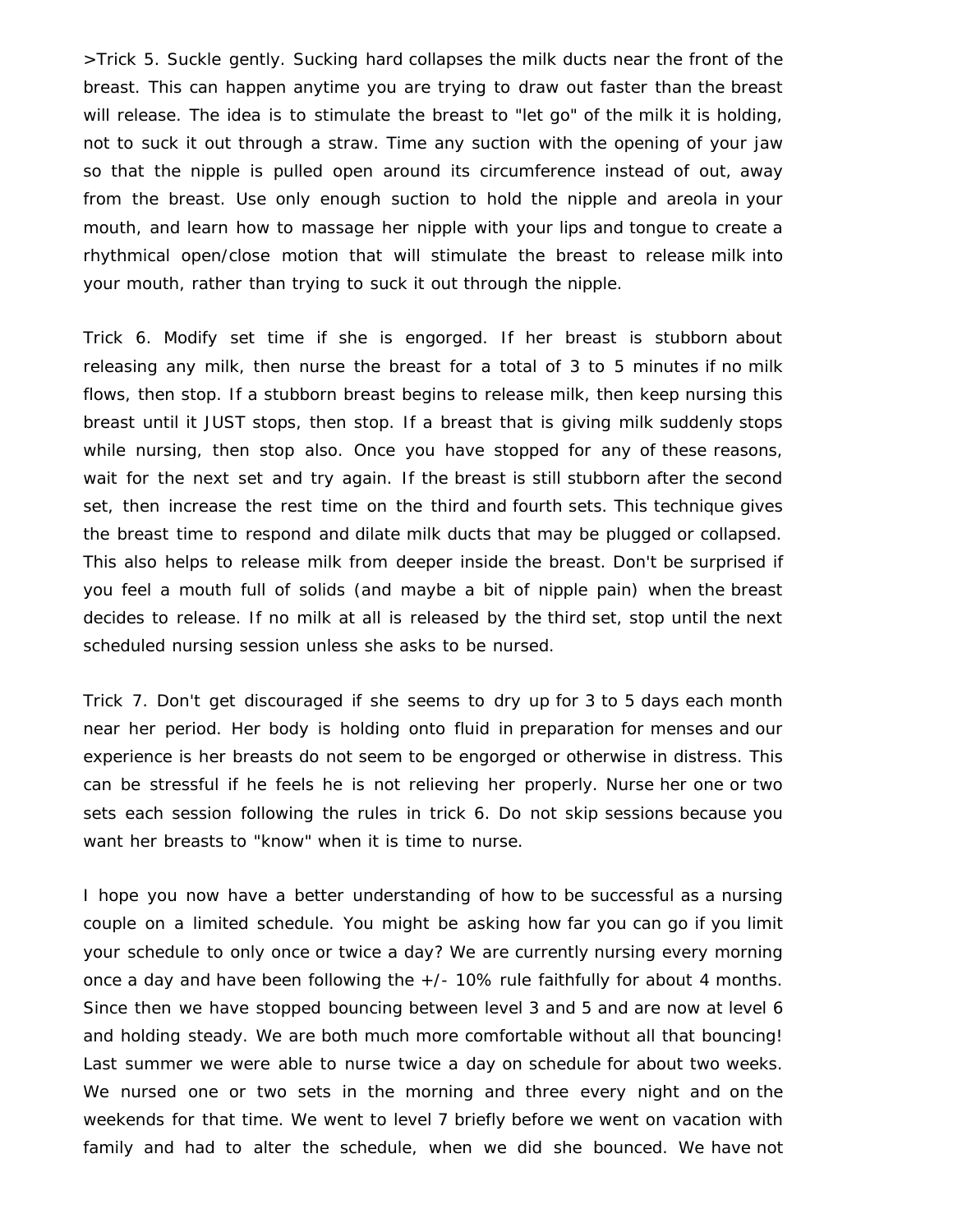>Trick 5. Suckle gently. Sucking hard collapses the milk ducts near the front of the breast. This can happen anytime you are trying to draw out faster than the breast will release. The idea is to stimulate the breast to "let go" of the milk it is holding, not to suck it out through a straw. Time any suction with the opening of your jaw so that the nipple is pulled open around its circumference instead of out, away from the breast. Use only enough suction to hold the nipple and areola in your mouth, and learn how to massage her nipple with your lips and tongue to create a rhythmical open/close motion that will stimulate the breast to release milk into your mouth, rather than trying to suck it out through the nipple.

Trick 6. Modify set time if she is engorged. If her breast is stubborn about releasing any milk, then nurse the breast for a total of 3 to 5 minutes if no milk flows, then stop. If a stubborn breast begins to release milk, then keep nursing this breast until it JUST stops, then stop. If a breast that is giving milk suddenly stops while nursing, then stop also. Once you have stopped for any of these reasons, wait for the next set and try again. If the breast is still stubborn after the second set, then increase the rest time on the third and fourth sets. This technique gives the breast time to respond and dilate milk ducts that may be plugged or collapsed. This also helps to release milk from deeper inside the breast. Don't be surprised if you feel a mouth full of solids (and maybe a bit of nipple pain) when the breast decides to release. If no milk at all is released by the third set, stop until the next scheduled nursing session unless she asks to be nursed.

Trick 7. Don't get discouraged if she seems to dry up for 3 to 5 days each month near her period. Her body is holding onto fluid in preparation for menses and our experience is her breasts do not seem to be engorged or otherwise in distress. This can be stressful if he feels he is not relieving her properly. Nurse her one or two sets each session following the rules in trick 6. Do not skip sessions because you want her breasts to "know" when it is time to nurse.

I hope you now have a better understanding of how to be successful as a nursing couple on a limited schedule. You might be asking how far you can go if you limit your schedule to only once or twice a day? We are currently nursing every morning once a day and have been following the +/- 10% rule faithfully for about 4 months. Since then we have stopped bouncing between level 3 and 5 and are now at level 6 and holding steady. We are both much more comfortable without all that bouncing! Last summer we were able to nurse twice a day on schedule for about two weeks. We nursed one or two sets in the morning and three every night and on the weekends for that time. We went to level 7 briefly before we went on vacation with family and had to alter the schedule, when we did she bounced. We have not